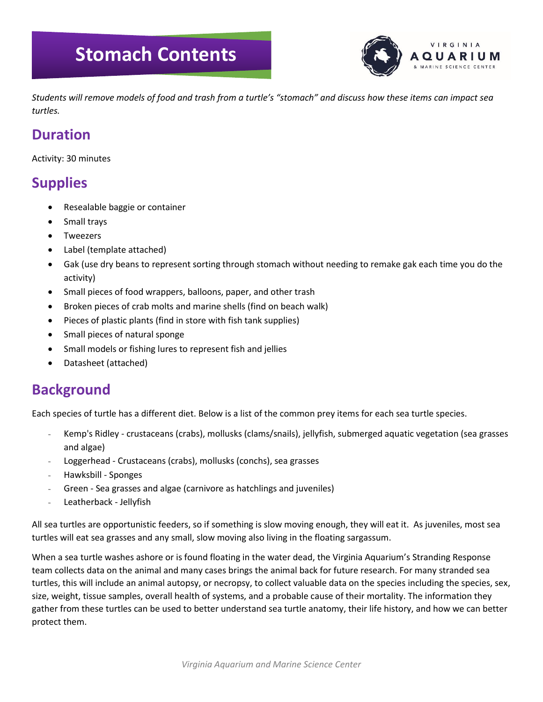## **Stomach Contents**



*Students will remove models of food and trash from a turtle's "stomach" and discuss how these items can impact sea turtles.*

#### **Duration**

Activity: 30 minutes

### **Supplies**

- Resealable baggie or container
- Small trays
- **Tweezers**
- Label (template attached)
- Gak (use dry beans to represent sorting through stomach without needing to remake gak each time you do the activity)
- Small pieces of food wrappers, balloons, paper, and other trash
- Broken pieces of crab molts and marine shells (find on beach walk)
- Pieces of plastic plants (find in store with fish tank supplies)
- Small pieces of natural sponge
- Small models or fishing lures to represent fish and jellies
- Datasheet (attached)

#### **Background**

Each species of turtle has a different diet. Below is a list of the common prey items for each sea turtle species.

- Kemp's Ridley crustaceans (crabs), mollusks (clams/snails), jellyfish, submerged aquatic vegetation (sea grasses and algae)
- Loggerhead Crustaceans (crabs), mollusks (conchs), sea grasses
- Hawksbill Sponges
- Green Sea grasses and algae (carnivore as hatchlings and juveniles)
- Leatherback Jellyfish

All sea turtles are opportunistic feeders, so if something is slow moving enough, they will eat it. As juveniles, most sea turtles will eat sea grasses and any small, slow moving also living in the floating sargassum.

When a sea turtle washes ashore or is found floating in the water dead, the Virginia Aquarium's Stranding Response team collects data on the animal and many cases brings the animal back for future research. For many stranded sea turtles, this will include an animal autopsy, or necropsy, to collect valuable data on the species including the species, sex, size, weight, tissue samples, overall health of systems, and a probable cause of their mortality. The information they gather from these turtles can be used to better understand sea turtle anatomy, their life history, and how we can better protect them.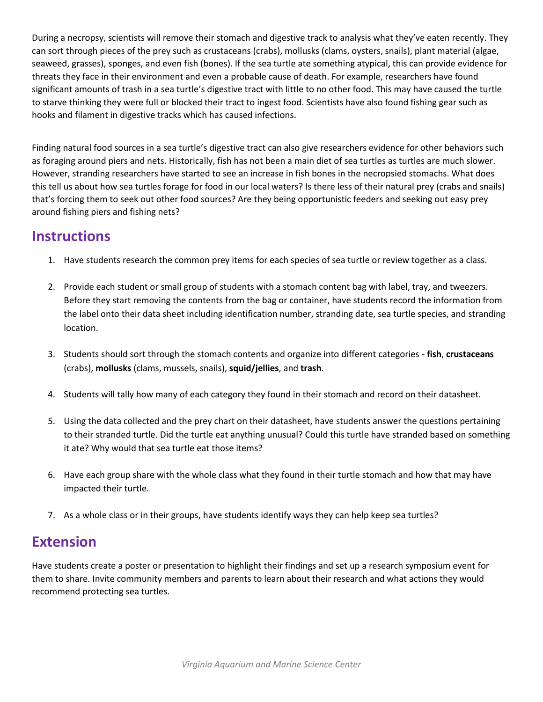During a necropsy, scientists will remove their stomach and digestive track to analysis what they've eaten recently. They can sort through pieces of the prey such as crustaceans (crabs), mollusks (clams, oysters, snails), plant material (algae, seaweed, grasses), sponges, and even fish (bones). If the sea turtle ate something atypical, this can provide evidence for threats they face in their environment and even a probable cause of death. For example, researchers have found significant amounts of trash in a sea turtle's digestive tract with little to no other food. This may have caused the turtle to starve thinking they were full or blocked their tract to ingest food. Scientists have also found fishing gear such as hooks and filament in digestive tracks which has caused infections.

Finding natural food sources in a sea turtle's digestive tract can also give researchers evidence for other behaviors such as foraging around piers and nets. Historically, fish has not been a main diet of sea turtles as turtles are much slower. However, stranding researchers have started to see an increase in fish bones in the necropsied stomachs. What does this tell us about how sea turtles forage for food in our local waters? Is there less of their natural prey (crabs and snails) that's forcing them to seek out other food sources? Are they being opportunistic feeders and seeking out easy prey around fishing piers and fishing nets?

#### **Instructions**

- 1. Have students research the common prey items for each species of sea turtle or review together as a class.
- 2. Provide each student or small group of students with a stomach content bag with label, tray, and tweezers. Before they start removing the contents from the bag or container, have students record the information from the label onto their data sheet including identification number, stranding date, sea turtle species, and stranding location.
- 3. Students should sort through the stomach contents and organize into different categories **fish**, **crustaceans** (crabs), **mollusks** (clams, mussels, snails), **squid/jellies**, and **trash**.
- 4. Students will tally how many of each category they found in their stomach and record on their datasheet.
- 5. Using the data collected and the prey chart on their datasheet, have students answer the questions pertaining to their stranded turtle. Did the turtle eat anything unusual? Could this turtle have stranded based on something it ate? Why would that sea turtle eat those items?
- 6. Have each group share with the whole class what they found in their turtle stomach and how that may have impacted their turtle.
- 7. As a whole class or in their groups, have students identify ways they can help keep sea turtles?

### **Extension**

Have students create a poster or presentation to highlight their findings and set up a research symposium event for them to share. Invite community members and parents to learn about their research and what actions they would recommend protecting sea turtles.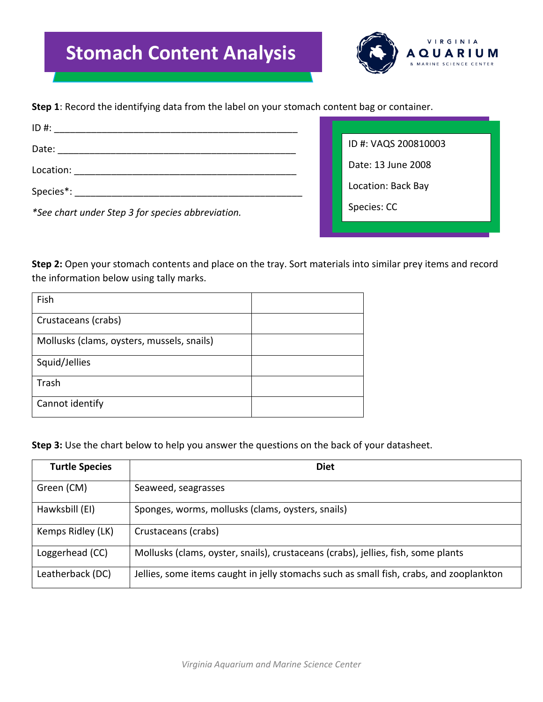# **Stomach Content Analysis**



**Step 1**: Record the identifying data from the label on your stomach content bag or container.

| ID #:                                                                                                                         |                      |
|-------------------------------------------------------------------------------------------------------------------------------|----------------------|
| Date:<br><u> 2002 - 2003 - 2004 - 2005 - 2006 - 2007 - 2008 - 2008 - 2008 - 2008 - 2008 - 2008 - 2008 - 2008 - 2008 - 200</u> | ID #: VAQS 200810003 |
| Location:                                                                                                                     | Date: 13 June 2008   |
| Species <sup>*</sup> :                                                                                                        | Location: Back Bay   |
| *See chart under Step 3 for species abbreviation.                                                                             | Species: CC          |

**Step 2:** Open your stomach contents and place on the tray. Sort materials into similar prey items and record the information below using tally marks.

| Fish                                       |  |
|--------------------------------------------|--|
| Crustaceans (crabs)                        |  |
| Mollusks (clams, oysters, mussels, snails) |  |
| Squid/Jellies                              |  |
| Trash                                      |  |
| Cannot identify                            |  |

**Step 3:** Use the chart below to help you answer the questions on the back of your datasheet.

| <b>Turtle Species</b> | <b>Diet</b>                                                                             |
|-----------------------|-----------------------------------------------------------------------------------------|
| Green (CM)            | Seaweed, seagrasses                                                                     |
| Hawksbill (EI)        | Sponges, worms, mollusks (clams, oysters, snails)                                       |
| Kemps Ridley (LK)     | Crustaceans (crabs)                                                                     |
| Loggerhead (CC)       | Mollusks (clams, oyster, snails), crustaceans (crabs), jellies, fish, some plants       |
| Leatherback (DC)      | Jellies, some items caught in jelly stomachs such as small fish, crabs, and zooplankton |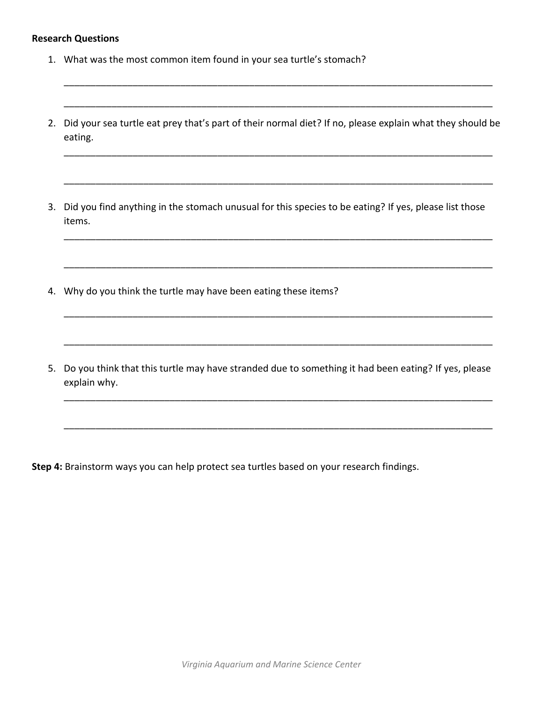#### **Research Questions**

- 1. What was the most common item found in your sea turtle's stomach?
- 2. Did your sea turtle eat prey that's part of their normal diet? If no, please explain what they should be eating.

\_\_\_\_\_\_\_\_\_\_\_\_\_\_\_\_\_\_\_\_\_\_\_\_\_\_\_\_\_\_\_\_\_\_\_\_\_\_\_\_\_\_\_\_\_\_\_\_\_\_\_\_\_\_\_\_\_\_\_\_\_\_\_\_\_\_\_\_\_\_\_\_\_\_\_\_\_\_\_\_\_

\_\_\_\_\_\_\_\_\_\_\_\_\_\_\_\_\_\_\_\_\_\_\_\_\_\_\_\_\_\_\_\_\_\_\_\_\_\_\_\_\_\_\_\_\_\_\_\_\_\_\_\_\_\_\_\_\_\_\_\_\_\_\_\_\_\_\_\_\_\_\_\_\_\_\_\_\_\_\_\_\_

\_\_\_\_\_\_\_\_\_\_\_\_\_\_\_\_\_\_\_\_\_\_\_\_\_\_\_\_\_\_\_\_\_\_\_\_\_\_\_\_\_\_\_\_\_\_\_\_\_\_\_\_\_\_\_\_\_\_\_\_\_\_\_\_\_\_\_\_\_\_\_\_\_\_\_\_\_\_\_\_\_

\_\_\_\_\_\_\_\_\_\_\_\_\_\_\_\_\_\_\_\_\_\_\_\_\_\_\_\_\_\_\_\_\_\_\_\_\_\_\_\_\_\_\_\_\_\_\_\_\_\_\_\_\_\_\_\_\_\_\_\_\_\_\_\_\_\_\_\_\_\_\_\_\_\_\_\_\_\_\_\_\_

\_\_\_\_\_\_\_\_\_\_\_\_\_\_\_\_\_\_\_\_\_\_\_\_\_\_\_\_\_\_\_\_\_\_\_\_\_\_\_\_\_\_\_\_\_\_\_\_\_\_\_\_\_\_\_\_\_\_\_\_\_\_\_\_\_\_\_\_\_\_\_\_\_\_\_\_\_\_\_\_\_

\_\_\_\_\_\_\_\_\_\_\_\_\_\_\_\_\_\_\_\_\_\_\_\_\_\_\_\_\_\_\_\_\_\_\_\_\_\_\_\_\_\_\_\_\_\_\_\_\_\_\_\_\_\_\_\_\_\_\_\_\_\_\_\_\_\_\_\_\_\_\_\_\_\_\_\_\_\_\_\_\_

\_\_\_\_\_\_\_\_\_\_\_\_\_\_\_\_\_\_\_\_\_\_\_\_\_\_\_\_\_\_\_\_\_\_\_\_\_\_\_\_\_\_\_\_\_\_\_\_\_\_\_\_\_\_\_\_\_\_\_\_\_\_\_\_\_\_\_\_\_\_\_\_\_\_\_\_\_\_\_\_\_

\_\_\_\_\_\_\_\_\_\_\_\_\_\_\_\_\_\_\_\_\_\_\_\_\_\_\_\_\_\_\_\_\_\_\_\_\_\_\_\_\_\_\_\_\_\_\_\_\_\_\_\_\_\_\_\_\_\_\_\_\_\_\_\_\_\_\_\_\_\_\_\_\_\_\_\_\_\_\_\_\_

\_\_\_\_\_\_\_\_\_\_\_\_\_\_\_\_\_\_\_\_\_\_\_\_\_\_\_\_\_\_\_\_\_\_\_\_\_\_\_\_\_\_\_\_\_\_\_\_\_\_\_\_\_\_\_\_\_\_\_\_\_\_\_\_\_\_\_\_\_\_\_\_\_\_\_\_\_\_\_\_\_

\_\_\_\_\_\_\_\_\_\_\_\_\_\_\_\_\_\_\_\_\_\_\_\_\_\_\_\_\_\_\_\_\_\_\_\_\_\_\_\_\_\_\_\_\_\_\_\_\_\_\_\_\_\_\_\_\_\_\_\_\_\_\_\_\_\_\_\_\_\_\_\_\_\_\_\_\_\_\_\_\_

- 3. Did you find anything in the stomach unusual for this species to be eating? If yes, please list those items.
- 4. Why do you think the turtle may have been eating these items?
- 5. Do you think that this turtle may have stranded due to something it had been eating? If yes, please explain why.

**Step 4:** Brainstorm ways you can help protect sea turtles based on your research findings.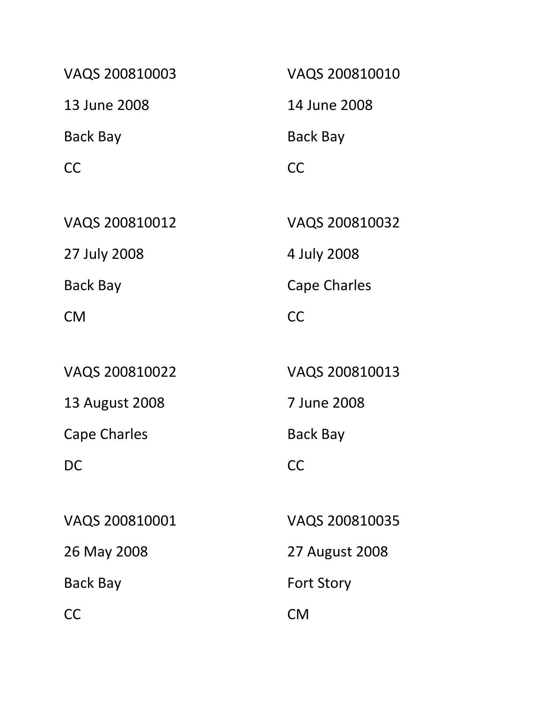| VAQS 200810003 | VAQS 200810010    |
|----------------|-------------------|
| 13 June 2008   | 14 June 2008      |
| Back Bay       | Back Bay          |
| <b>CC</b>      | <b>CC</b>         |
|                |                   |
| VAQS 200810012 | VAQS 200810032    |
| 27 July 2008   | 4 July 2008       |
| Back Bay       | Cape Charles      |
| <b>CM</b>      | <b>CC</b>         |
|                |                   |
| VAQS 200810022 | VAQS 200810013    |
| 13 August 2008 | 7 June 2008       |
| Cape Charles   | Back Bay          |
| DC             | CC                |
|                |                   |
| VAQS 200810001 | VAQS 200810035    |
| 26 May 2008    | 27 August 2008    |
| Back Bay       | <b>Fort Story</b> |
| <b>CC</b>      | <b>CM</b>         |